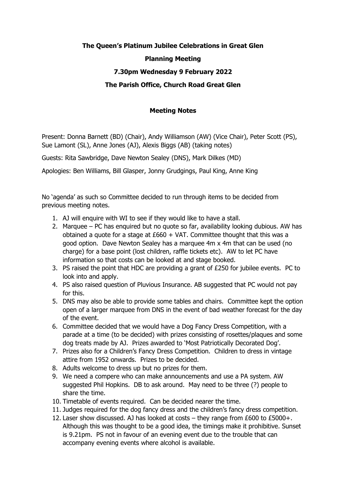## **The Queen's Platinum Jubilee Celebrations in Great Glen Planning Meeting 7.30pm Wednesday 9 February 2022**

## **The Parish Office, Church Road Great Glen**

## **Meeting Notes**

Present: Donna Barnett (BD) (Chair), Andy Williamson (AW) (Vice Chair), Peter Scott (PS), Sue Lamont (SL), Anne Jones (AJ), Alexis Biggs (AB) (taking notes)

Guests: Rita Sawbridge, Dave Newton Sealey (DNS), Mark Dilkes (MD)

Apologies: Ben Williams, Bill Glasper, Jonny Grudgings, Paul King, Anne King

No 'agenda' as such so Committee decided to run through items to be decided from previous meeting notes.

- 1. AJ will enquire with WI to see if they would like to have a stall.
- 2. Marquee PC has enquired but no quote so far, availability looking dubious. AW has obtained a quote for a stage at  $£660 + VAT$ . Committee thought that this was a good option. Dave Newton Sealey has a marquee 4m x 4m that can be used (no charge) for a base point (lost children, raffle tickets etc). AW to let PC have information so that costs can be looked at and stage booked.
- 3. PS raised the point that HDC are providing a grant of £250 for jubilee events. PC to look into and apply.
- 4. PS also raised question of Pluvious Insurance. AB suggested that PC would not pay for this.
- 5. DNS may also be able to provide some tables and chairs. Committee kept the option open of a larger marquee from DNS in the event of bad weather forecast for the day of the event.
- 6. Committee decided that we would have a Dog Fancy Dress Competition, with a parade at a time (to be decided) with prizes consisting of rosettes/plaques and some dog treats made by AJ. Prizes awarded to 'Most Patriotically Decorated Dog'.
- 7. Prizes also for a Children's Fancy Dress Competition. Children to dress in vintage attire from 1952 onwards. Prizes to be decided.
- 8. Adults welcome to dress up but no prizes for them.
- 9. We need a compere who can make announcements and use a PA system. AW suggested Phil Hopkins. DB to ask around. May need to be three (?) people to share the time.
- 10. Timetable of events required. Can be decided nearer the time.
- 11. Judges required for the dog fancy dress and the children's fancy dress competition.
- 12. Laser show discussed. AJ has looked at costs they range from £600 to £5000+. Although this was thought to be a good idea, the timings make it prohibitive. Sunset is 9.21pm. PS not in favour of an evening event due to the trouble that can accompany evening events where alcohol is available.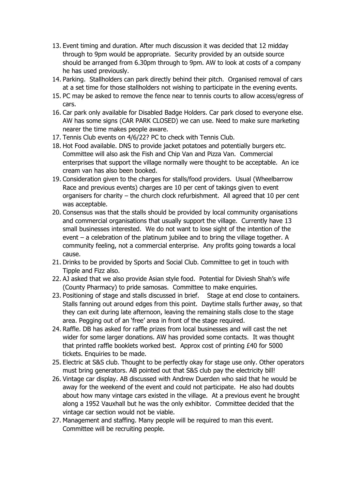- 13. Event timing and duration. After much discussion it was decided that 12 midday through to 9pm would be appropriate. Security provided by an outside source should be arranged from 6.30pm through to 9pm. AW to look at costs of a company he has used previously.
- 14. Parking. Stallholders can park directly behind their pitch. Organised removal of cars at a set time for those stallholders not wishing to participate in the evening events.
- 15. PC may be asked to remove the fence near to tennis courts to allow access/egress of cars.
- 16. Car park only available for Disabled Badge Holders. Car park closed to everyone else. AW has some signs (CAR PARK CLOSED) we can use. Need to make sure marketing nearer the time makes people aware.
- 17. Tennis Club events on 4/6/22? PC to check with Tennis Club.
- 18. Hot Food available. DNS to provide jacket potatoes and potentially burgers etc. Committee will also ask the Fish and Chip Van and Pizza Van. Commercial enterprises that support the village normally were thought to be acceptable. An ice cream van has also been booked.
- 19. Consideration given to the charges for stalls/food providers. Usual (Wheelbarrow Race and previous events) charges are 10 per cent of takings given to event organisers for charity – the church clock refurbishment. All agreed that 10 per cent was acceptable.
- 20. Consensus was that the stalls should be provided by local community organisations and commercial organisations that usually support the village. Currently have 13 small businesses interested. We do not want to lose sight of the intention of the event – a celebration of the platinum jubilee and to bring the village together. A community feeling, not a commercial enterprise. Any profits going towards a local cause.
- 21. Drinks to be provided by Sports and Social Club. Committee to get in touch with Tipple and Fizz also.
- 22. AJ asked that we also provide Asian style food. Potential for Diviesh Shah's wife (County Pharmacy) to pride samosas. Committee to make enquiries.
- 23. Positioning of stage and stalls discussed in brief. Stage at end close to containers. Stalls fanning out around edges from this point. Daytime stalls further away, so that they can exit during late afternoon, leaving the remaining stalls close to the stage area. Pegging out of an 'free' area in front of the stage required.
- 24. Raffle. DB has asked for raffle prizes from local businesses and will cast the net wider for some larger donations. AW has provided some contacts. It was thought that printed raffle booklets worked best. Approx cost of printing £40 for 5000 tickets. Enquiries to be made.
- 25. Electric at S&S club. Thought to be perfectly okay for stage use only. Other operators must bring generators. AB pointed out that S&S club pay the electricity bill!
- 26. Vintage car display. AB discussed with Andrew Duerden who said that he would be away for the weekend of the event and could not participate. He also had doubts about how many vintage cars existed in the village. At a previous event he brought along a 1952 Vauxhall but he was the only exhibitor. Committee decided that the vintage car section would not be viable.
- 27. Management and staffing. Many people will be required to man this event. Committee will be recruiting people.